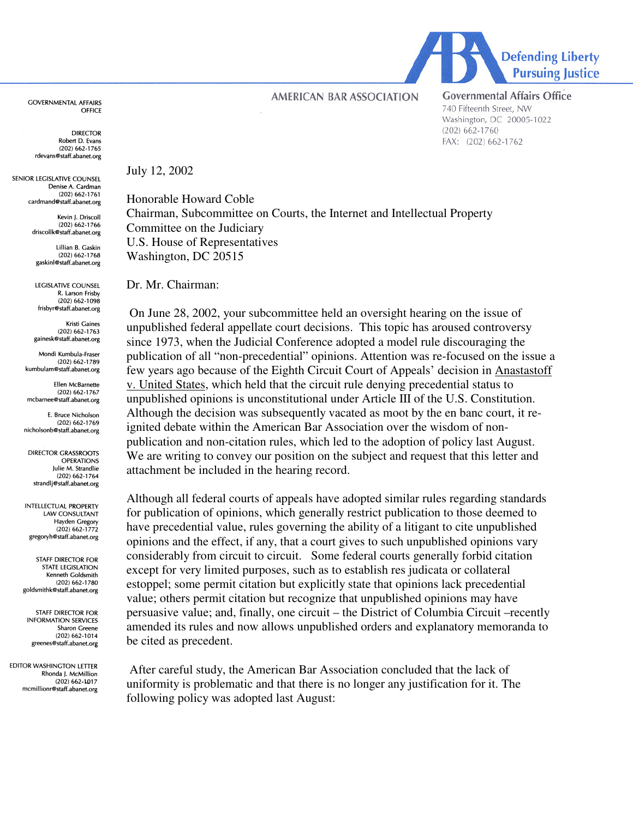**GOVERNMENTAL AFFAIRS OFFICE** 

> DIRECTOR Robert D. Evans  $(202)$  662-1765 rdevans@staff.abanet.org

SENIOR LEGISLATIVE COUNSEL Denise A. Cardman  $(202) 662 - 1761$ cardmand@staff.abanet.org

> Kevin I. Driscoll  $(202)$  662-1766 driscollk@staff.abanet.org

Hillian B. Gaskin  $(202)$  662-1768 gaskinl@staff.abanet.org

**LEGISLATIVE COLINSEL** R. Larson Frisby  $(202)$  662-1098 frisbyr@staff.abanet.org

Kristi Gaines  $(202)$  662-1763 gainesk@staff.abanet.org

Mondi Kumbula-Fraser  $(202)$  662-1789 kumbulam@staff.abanet.org

Ellen McBarnette  $(202)$  662-1767 mcbarnee@staff.abanet.org

E. Bruce Nicholson (202) 662-1769 nicholsonb@staff.abanet.org

**DIRECTOR GRASSROOTS OPERATIONS** Julie M. Strandlie  $(202)$  662-1764 strandlj@staff.abanet.org

INTELLECTUAL PROPERTY **LAW CONSULTANT** Hayden Gregory  $(202)$  662-1772 gregoryh@staff.abanet.org

**STAFF DIRECTOR FOR STATE LEGISLATION** Kenneth Goldsmith  $(202)$  662-1780 goldsmithk@staff.abanet.org

STAFF DIRECTOR FOR **INFORMATION SERVICES** Sharon Greene  $(202)$  662-1014 greenes@staff.abanet.org

**EDITOR WASHINGTON LETTER** Rhonda J. McMillion  $(202)$  662-1017 mcmillionr@staff.abanet.org July 12, 2002

Honorable Howard Coble Chairman, Subcommittee on Courts, the Internet and Intellectual Property Committee on the Judiciary U.S. House of Representatives Washington, DC 20515

**AMERICAN BAR ASSOCIATION** 

Dr. Mr. Chairman:

On June 28, 2002, your subcommittee held an oversight hearing on the issue of unpublished federal appellate court decisions. This topic has aroused controversy since 1973, when the Judicial Conference adopted a model rule discouraging the publication of all "non-precedential" opinions. Attention was re-focused on the issue a few years ago because of the Eighth Circuit Court of Appeals' decision in Anastastoff v. United States, which held that the circuit rule denying precedential status to unpublished opinions is unconstitutional under Article III of the U.S. Constitution. Although the decision was subsequently vacated as moot by the en banc court, it reignited debate within the American Bar Association over the wisdom of nonpublication and non-citation rules, which led to the adoption of policy last August. We are writing to convey our position on the subject and request that this letter and attachment be included in the hearing record.

Although all federal courts of appeals have adopted similar rules regarding standards for publication of opinions, which generally restrict publication to those deemed to have precedential value, rules governing the ability of a litigant to cite unpublished opinions and the effect, if any, that a court gives to such unpublished opinions vary considerably from circuit to circuit. Some federal courts generally forbid citation except for very limited purposes, such as to establish res judicata or collateral estoppel; some permit citation but explicitly state that opinions lack precedential value; others permit citation but recognize that unpublished opinions may have persuasive value; and, finally, one circuit – the District of Columbia Circuit –recently amended its rules and now allows unpublished orders and explanatory memoranda to be cited as precedent.

After careful study, the American Bar Association concluded that the lack of uniformity is problematic and that there is no longer any justification for it. The following policy was adopted last August:



**Governmental Affairs Office** 740 Fifteenth Street, NW Washington, DC 20005-1022  $(202)$  662-1760

FAX: (202) 662-1762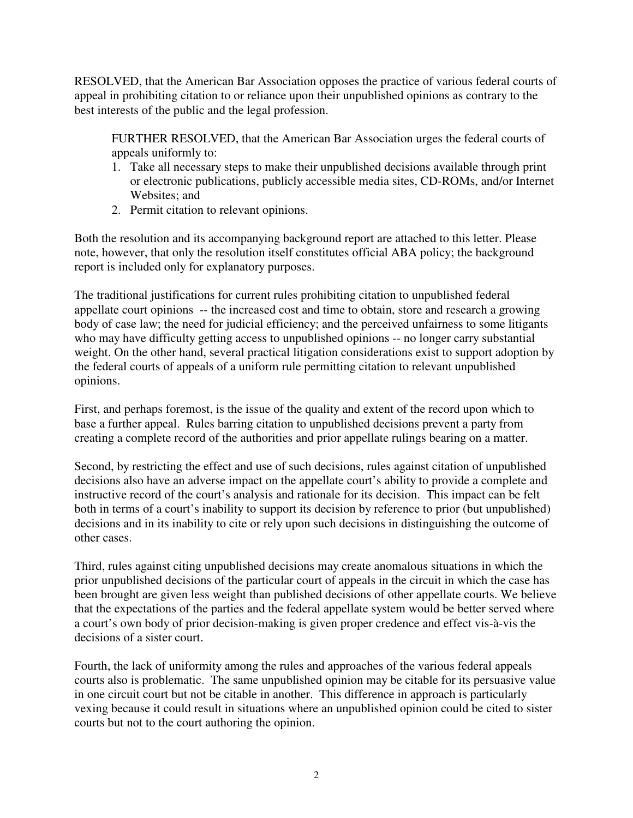RESOLVED, that the American Bar Association opposes the practice of various federal courts of appeal in prohibiting citation to or reliance upon their unpublished opinions as contrary to the best interests of the public and the legal profession.

FURTHER RESOLVED, that the American Bar Association urges the federal courts of appeals uniformly to:

- 1. Take all necessary steps to make their unpublished decisions available through print or electronic publications, publicly accessible media sites, CD-ROMs, and/or Internet Websites; and
- 2. Permit citation to relevant opinions.

Both the resolution and its accompanying background report are attached to this letter. Please note, however, that only the resolution itself constitutes official ABA policy; the background report is included only for explanatory purposes.

The traditional justifications for current rules prohibiting citation to unpublished federal appellate court opinions -- the increased cost and time to obtain, store and research a growing body of case law; the need for judicial efficiency; and the perceived unfairness to some litigants who may have difficulty getting access to unpublished opinions -- no longer carry substantial weight. On the other hand, several practical litigation considerations exist to support adoption by the federal courts of appeals of a uniform rule permitting citation to relevant unpublished opinions.

First, and perhaps foremost, is the issue of the quality and extent of the record upon which to base a further appeal. Rules barring citation to unpublished decisions prevent a party from creating a complete record of the authorities and prior appellate rulings bearing on a matter.

Second, by restricting the effect and use of such decisions, rules against citation of unpublished decisions also have an adverse impact on the appellate court's ability to provide a complete and instructive record of the court's analysis and rationale for its decision. This impact can be felt both in terms of a court's inability to support its decision by reference to prior (but unpublished) decisions and in its inability to cite or rely upon such decisions in distinguishing the outcome of other cases.

Third, rules against citing unpublished decisions may create anomalous situations in which the prior unpublished decisions of the particular court of appeals in the circuit in which the case has been brought are given less weight than published decisions of other appellate courts. We believe that the expectations of the parties and the federal appellate system would be better served where a court's own body of prior decision-making is given proper credence and effect vis-à-vis the decisions of a sister court.

Fourth, the lack of uniformity among the rules and approaches of the various federal appeals courts also is problematic. The same unpublished opinion may be citable for its persuasive value in one circuit court but not be citable in another. This difference in approach is particularly vexing because it could result in situations where an unpublished opinion could be cited to sister courts but not to the court authoring the opinion.